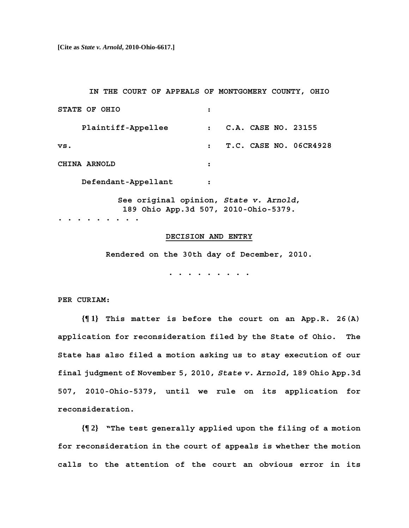**[Cite as** *State v. Arnold***, 2010-Ohio-6617.]**

 **IN THE COURT OF APPEALS OF MONTGOMERY COUNTY, OHIO** 

| STATE OF OHIO                                                                  | :              |                       |  |  |                        |
|--------------------------------------------------------------------------------|----------------|-----------------------|--|--|------------------------|
| Plaintiff-Appellee                                                             |                | : C.A. CASE NO. 23155 |  |  |                        |
| vs.                                                                            | $\ddot{\cdot}$ |                       |  |  | T.C. CASE NO. 06CR4928 |
| CHINA ARNOLD                                                                   | :              |                       |  |  |                        |
| Defendant-Appellant                                                            |                |                       |  |  |                        |
| See original opinion, State v. Arnold,<br>189 Ohio App.3d 507, 2010-Ohio-5379. |                |                       |  |  |                        |

**. . . . . . . . .** 

## **DECISION AND ENTRY**

 **Rendered on the 30th day of December, 2010.** 

 **. . . . . . . . .** 

**PER CURIAM:** 

**{¶ 1} This matter is before the court on an App.R. 26(A) application for reconsideration filed by the State of Ohio. The State has also filed a motion asking us to stay execution of our final judgment of November 5, 2010,** *State v. Arnold***, 189 Ohio App.3d 507, 2010-Ohio-5379, until we rule on its application for reconsideration.** 

**{¶ 2} "The test generally applied upon the filing of a motion for reconsideration in the court of appeals is whether the motion calls to the attention of the court an obvious error in its**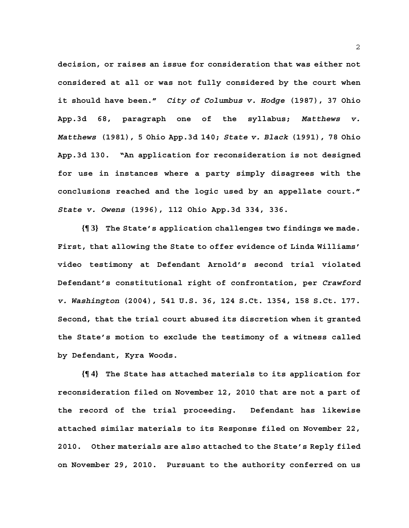**decision, or raises an issue for consideration that was either not considered at all or was not fully considered by the court when it should have been."** *City of Columbus v. Hodge* **(1987), 37 Ohio App.3d 68, paragraph one of the syllabus;** *Matthews v. Matthews* **(1981), 5 Ohio App.3d 140;** *State v. Black* **(1991), 78 Ohio App.3d 130. "An application for reconsideration is not designed for use in instances where a party simply disagrees with the conclusions reached and the logic used by an appellate court."**  *State v. Owens* **(1996), 112 Ohio App.3d 334, 336.** 

**{¶ 3} The State's application challenges two findings we made. First, that allowing the State to offer evidence of Linda Williams' video testimony at Defendant Arnold's second trial violated Defendant's constitutional right of confrontation, per** *Crawford v. Washington* **(2004), 541 U.S. 36, 124 S.Ct. 1354, 158 S.Ct. 177. Second, that the trial court abused its discretion when it granted the State's motion to exclude the testimony of a witness called by Defendant, Kyra Woods.** 

**{¶ 4} The State has attached materials to its application for reconsideration filed on November 12, 2010 that are not a part of the record of the trial proceeding. Defendant has likewise attached similar materials to its Response filed on November 22, 2010. Other materials are also attached to the State's Reply filed on November 29, 2010. Pursuant to the authority conferred on us**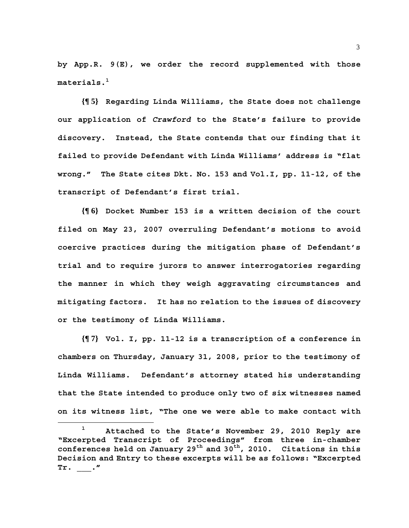**by App.R. 9(E), we order the record supplemented with those materials.1**

**{¶ 5} Regarding Linda Williams, the State does not challenge our application of** *Crawford* **to the State's failure to provide discovery. Instead, the State contends that our finding that it failed to provide Defendant with Linda Williams' address is "flat wrong." The State cites Dkt. No. 153 and Vol.I, pp. 11-12, of the transcript of Defendant's first trial.** 

**{¶ 6} Docket Number 153 is a written decision of the court filed on May 23, 2007 overruling Defendant's motions to avoid coercive practices during the mitigation phase of Defendant's trial and to require jurors to answer interrogatories regarding the manner in which they weigh aggravating circumstances and mitigating factors. It has no relation to the issues of discovery or the testimony of Linda Williams.** 

**{¶ 7} Vol. I, pp. 11-12 is a transcription of a conference in chambers on Thursday, January 31, 2008, prior to the testimony of Linda Williams. Defendant's attorney stated his understanding that the State intended to produce only two of six witnesses named on its witness list, "The one we were able to make contact with** 

**<sup>1</sup> Attached to the State's November 29, 2010 Reply are "Excerpted Transcript of Proceedings" from three in-chamber**  conferences held on January 29<sup>th</sup> and 30<sup>th</sup>, 2010. Citations in this **Decision and Entry to these excerpts will be as follows: "Excerpted Tr. \_\_\_."**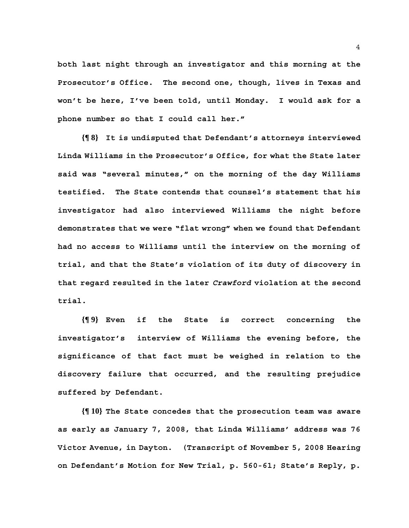**both last night through an investigator and this morning at the Prosecutor's Office. The second one, though, lives in Texas and won't be here, I've been told, until Monday. I would ask for a phone number so that I could call her."** 

**{¶ 8} It is undisputed that Defendant's attorneys interviewed Linda Williams in the Prosecutor's Office, for what the State later said was "several minutes," on the morning of the day Williams testified. The State contends that counsel's statement that his investigator had also interviewed Williams the night before demonstrates that we were "flat wrong" when we found that Defendant had no access to Williams until the interview on the morning of trial, and that the State's violation of its duty of discovery in that regard resulted in the later** *Crawford* **violation at the second trial.** 

**{¶ 9} Even if the State is correct concerning the investigator's interview of Williams the evening before, the significance of that fact must be weighed in relation to the discovery failure that occurred, and the resulting prejudice suffered by Defendant.** 

**{¶ 10} The State concedes that the prosecution team was aware as early as January 7, 2008, that Linda Williams' address was 76 Victor Avenue, in Dayton. (Transcript of November 5, 2008 Hearing on Defendant's Motion for New Trial, p. 560-61; State's Reply, p.**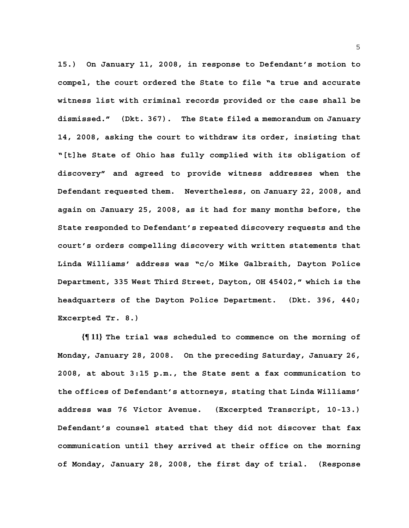**15.) On January 11, 2008, in response to Defendant's motion to compel, the court ordered the State to file "a true and accurate witness list with criminal records provided or the case shall be dismissed." (Dkt. 367). The State filed a memorandum on January 14, 2008, asking the court to withdraw its order, insisting that "[t]he State of Ohio has fully complied with its obligation of discovery" and agreed to provide witness addresses when the Defendant requested them. Nevertheless, on January 22, 2008, and again on January 25, 2008, as it had for many months before, the State responded to Defendant's repeated discovery requests and the court's orders compelling discovery with written statements that Linda Williams' address was "c/o Mike Galbraith, Dayton Police Department, 335 West Third Street, Dayton, OH 45402," which is the headquarters of the Dayton Police Department. (Dkt. 396, 440; Excerpted Tr. 8.)** 

**{¶ 11} The trial was scheduled to commence on the morning of Monday, January 28, 2008. On the preceding Saturday, January 26, 2008, at about 3:15 p.m., the State sent a fax communication to the offices of Defendant's attorneys, stating that Linda Williams' address was 76 Victor Avenue. (Excerpted Transcript, 10-13.) Defendant's counsel stated that they did not discover that fax communication until they arrived at their office on the morning of Monday, January 28, 2008, the first day of trial. (Response**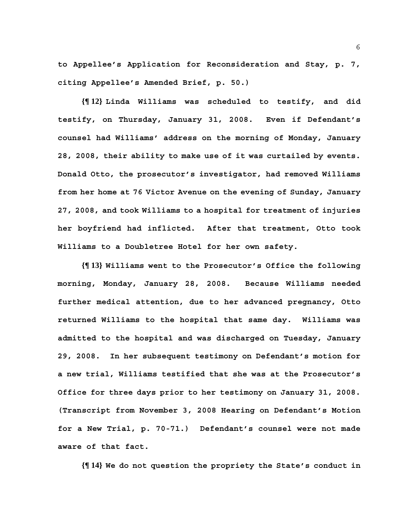**to Appellee's Application for Reconsideration and Stay, p. 7, citing Appellee's Amended Brief, p. 50.)** 

**{¶ 12} Linda Williams was scheduled to testify, and did testify, on Thursday, January 31, 2008. Even if Defendant's counsel had Williams' address on the morning of Monday, January 28, 2008, their ability to make use of it was curtailed by events. Donald Otto, the prosecutor's investigator, had removed Williams from her home at 76 Victor Avenue on the evening of Sunday, January 27, 2008, and took Williams to a hospital for treatment of injuries her boyfriend had inflicted. After that treatment, Otto took Williams to a Doubletree Hotel for her own safety.** 

**{¶ 13} Williams went to the Prosecutor's Office the following morning, Monday, January 28, 2008. Because Williams needed further medical attention, due to her advanced pregnancy, Otto returned Williams to the hospital that same day. Williams was admitted to the hospital and was discharged on Tuesday, January 29, 2008. In her subsequent testimony on Defendant's motion for a new trial, Williams testified that she was at the Prosecutor's Office for three days prior to her testimony on January 31, 2008. (Transcript from November 3, 2008 Hearing on Defendant's Motion for a New Trial, p. 70-71.) Defendant's counsel were not made aware of that fact.** 

**{¶ 14} We do not question the propriety the State's conduct in**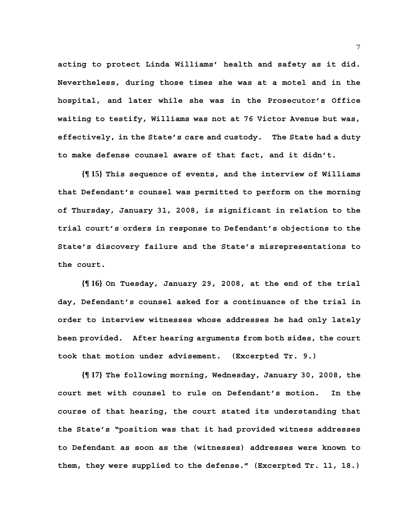**acting to protect Linda Williams' health and safety as it did. Nevertheless, during those times she was at a motel and in the hospital, and later while she was in the Prosecutor's Office waiting to testify, Williams was not at 76 Victor Avenue but was, effectively, in the State's care and custody. The State had a duty to make defense counsel aware of that fact, and it didn't.** 

**{¶ 15} This sequence of events, and the interview of Williams that Defendant's counsel was permitted to perform on the morning of Thursday, January 31, 2008, is significant in relation to the trial court's orders in response to Defendant's objections to the State's discovery failure and the State's misrepresentations to the court.** 

**{¶ 16} On Tuesday, January 29, 2008, at the end of the trial day, Defendant's counsel asked for a continuance of the trial in order to interview witnesses whose addresses he had only lately been provided. After hearing arguments from both sides, the court took that motion under advisement. (Excerpted Tr. 9.)** 

**{¶ 17} The following morning, Wednesday, January 30, 2008, the court met with counsel to rule on Defendant's motion. In the course of that hearing, the court stated its understanding that the State's "position was that it had provided witness addresses to Defendant as soon as the (witnesses) addresses were known to them, they were supplied to the defense." (Excerpted Tr. 11, 18.)**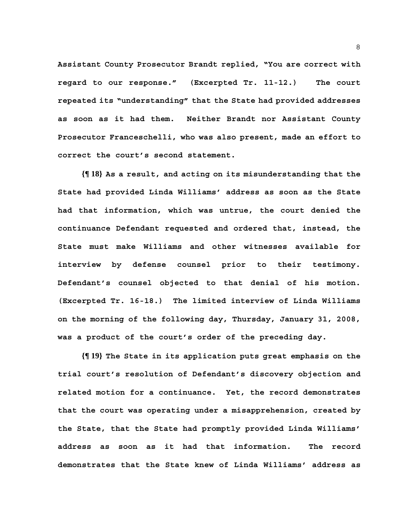**Assistant County Prosecutor Brandt replied, "You are correct with regard to our response." (Excerpted Tr. 11-12.) The court repeated its "understanding" that the State had provided addresses as soon as it had them. Neither Brandt nor Assistant County Prosecutor Franceschelli, who was also present, made an effort to correct the court's second statement.** 

**{¶ 18} As a result, and acting on its misunderstanding that the State had provided Linda Williams' address as soon as the State had that information, which was untrue, the court denied the continuance Defendant requested and ordered that, instead, the State must make Williams and other witnesses available for interview by defense counsel prior to their testimony. Defendant's counsel objected to that denial of his motion. (Excerpted Tr. 16-18.) The limited interview of Linda Williams on the morning of the following day, Thursday, January 31, 2008, was a product of the court's order of the preceding day.** 

**{¶ 19} The State in its application puts great emphasis on the trial court's resolution of Defendant's discovery objection and related motion for a continuance. Yet, the record demonstrates that the court was operating under a misapprehension, created by the State, that the State had promptly provided Linda Williams' address as soon as it had that information. The record demonstrates that the State knew of Linda Williams' address as**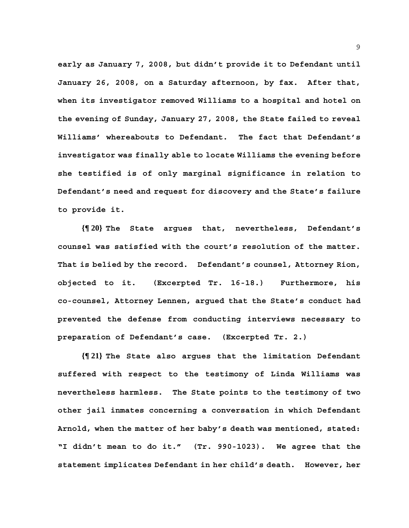**early as January 7, 2008, but didn't provide it to Defendant until January 26, 2008, on a Saturday afternoon, by fax. After that, when its investigator removed Williams to a hospital and hotel on the evening of Sunday, January 27, 2008, the State failed to reveal Williams' whereabouts to Defendant. The fact that Defendant's investigator was finally able to locate Williams the evening before she testified is of only marginal significance in relation to Defendant's need and request for discovery and the State's failure to provide it.** 

**{¶ 20} The State argues that, nevertheless, Defendant's counsel was satisfied with the court's resolution of the matter. That is belied by the record. Defendant's counsel, Attorney Rion, objected to it. (Excerpted Tr. 16-18.) Furthermore, his co-counsel, Attorney Lennen, argued that the State's conduct had prevented the defense from conducting interviews necessary to preparation of Defendant's case. (Excerpted Tr. 2.)** 

**{¶ 21} The State also argues that the limitation Defendant suffered with respect to the testimony of Linda Williams was nevertheless harmless. The State points to the testimony of two other jail inmates concerning a conversation in which Defendant Arnold, when the matter of her baby's death was mentioned, stated: "I didn't mean to do it." (Tr. 990-1023). We agree that the statement implicates Defendant in her child's death. However, her**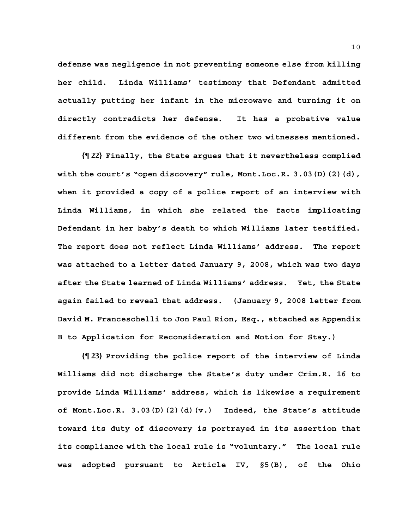**defense was negligence in not preventing someone else from killing her child. Linda Williams' testimony that Defendant admitted actually putting her infant in the microwave and turning it on directly contradicts her defense. It has a probative value different from the evidence of the other two witnesses mentioned.** 

**{¶ 22} Finally, the State argues that it nevertheless complied with the court's "open discovery" rule, Mont.Loc.R. 3.03(D)(2)(d), when it provided a copy of a police report of an interview with Linda Williams, in which she related the facts implicating Defendant in her baby's death to which Williams later testified. The report does not reflect Linda Williams' address. The report was attached to a letter dated January 9, 2008, which was two days after the State learned of Linda Williams' address. Yet, the State again failed to reveal that address. (January 9, 2008 letter from David M. Franceschelli to Jon Paul Rion, Esq., attached as Appendix B to Application for Reconsideration and Motion for Stay.)** 

**{¶ 23} Providing the police report of the interview of Linda Williams did not discharge the State's duty under Crim.R. 16 to provide Linda Williams' address, which is likewise a requirement of Mont.Loc.R. 3.03(D)(2)(d)(v.) Indeed, the State's attitude toward its duty of discovery is portrayed in its assertion that its compliance with the local rule is "voluntary." The local rule was adopted pursuant to Article IV, §5(B), of the Ohio**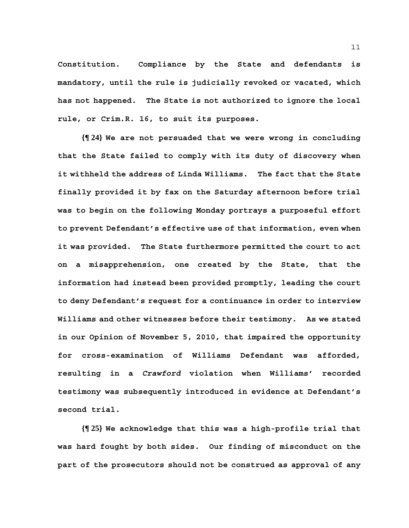**Constitution. Compliance by the State and defendants is mandatory, until the rule is judicially revoked or vacated, which has not happened. The State is not authorized to ignore the local rule, or Crim.R. 16, to suit its purposes.** 

**{¶ 24} We are not persuaded that we were wrong in concluding that the State failed to comply with its duty of discovery when it withheld the address of Linda Williams. The fact that the State finally provided it by fax on the Saturday afternoon before trial was to begin on the following Monday portrays a purposeful effort to prevent Defendant's effective use of that information, even when it was provided. The State furthermore permitted the court to act on a misapprehension, one created by the State, that the information had instead been provided promptly, leading the court to deny Defendant's request for a continuance in order to interview Williams and other witnesses before their testimony. As we stated in our Opinion of November 5, 2010, that impaired the opportunity for cross-examination of Williams Defendant was afforded, resulting in a** *Crawford* **violation when Williams' recorded testimony was subsequently introduced in evidence at Defendant's second trial.** 

**{¶ 25} We acknowledge that this was a high-profile trial that was hard fought by both sides. Our finding of misconduct on the part of the prosecutors should not be construed as approval of any**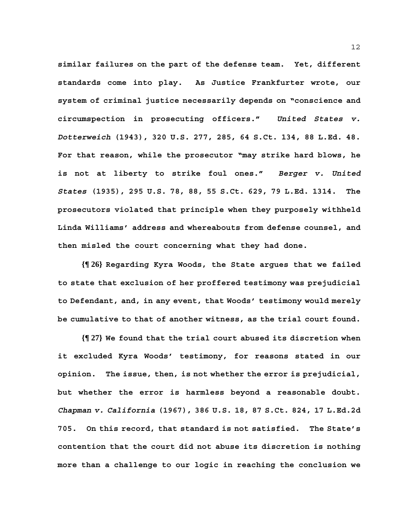**similar failures on the part of the defense team. Yet, different standards come into play. As Justice Frankfurter wrote, our system of criminal justice necessarily depends on "conscience and circumspection in prosecuting officers."** *United States v. Dotterweich* **(1943), 320 U.S. 277, 285, 64 S.Ct. 134, 88 L.Ed. 48. For that reason, while the prosecutor "may strike hard blows, he is not at liberty to strike foul ones."** *Berger v. United States* **(1935), 295 U.S. 78, 88, 55 S.Ct. 629, 79 L.Ed. 1314. The prosecutors violated that principle when they purposely withheld Linda Williams' address and whereabouts from defense counsel, and then misled the court concerning what they had done.** 

**{¶ 26} Regarding Kyra Woods, the State argues that we failed to state that exclusion of her proffered testimony was prejudicial to Defendant, and, in any event, that Woods' testimony would merely be cumulative to that of another witness, as the trial court found.** 

**{¶ 27} We found that the trial court abused its discretion when it excluded Kyra Woods' testimony, for reasons stated in our opinion. The issue, then, is not whether the error is prejudicial, but whether the error is harmless beyond a reasonable doubt.**  *Chapman v. California* **(1967), 386 U.S. 18, 87 S.Ct. 824, 17 L.Ed.2d 705. On this record, that standard is not satisfied. The State's contention that the court did not abuse its discretion is nothing more than a challenge to our logic in reaching the conclusion we**